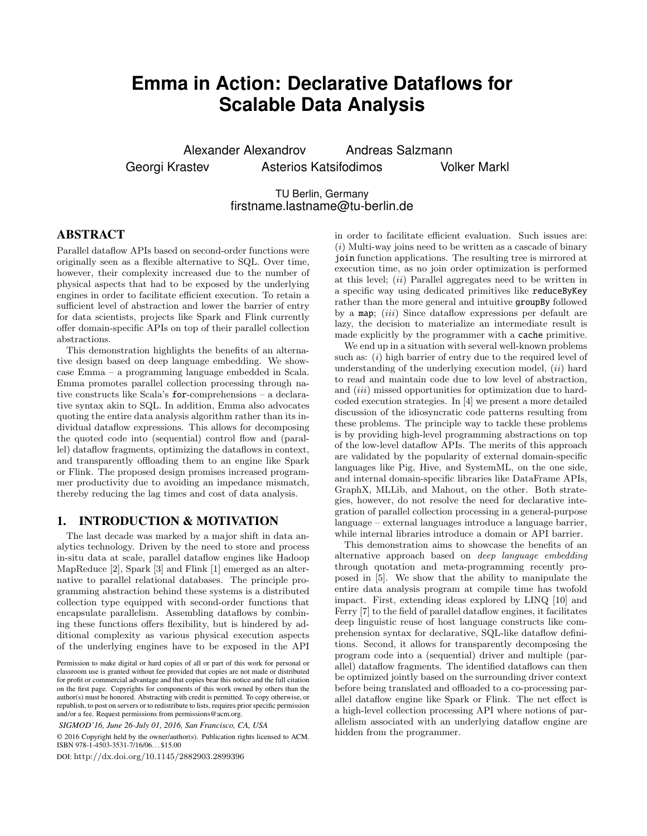# **Emma in Action: Declarative Dataflows for Scalable Data Analysis**

Alexander Alexandrov Andreas Salzmann Georgi Krastev **Asterios Katsifodimos** Volker Markl

TU Berlin, Germany firstname.lastname@tu-berlin.de

# ABSTRACT

Parallel dataflow APIs based on second-order functions were originally seen as a flexible alternative to SQL. Over time, however, their complexity increased due to the number of physical aspects that had to be exposed by the underlying engines in order to facilitate efficient execution. To retain a sufficient level of abstraction and lower the barrier of entry for data scientists, projects like Spark and Flink currently offer domain-specific APIs on top of their parallel collection abstractions.

This demonstration highlights the benefits of an alternative design based on deep language embedding. We showcase Emma – a programming language embedded in Scala. Emma promotes parallel collection processing through native constructs like Scala's for-comprehensions – a declarative syntax akin to SQL. In addition, Emma also advocates quoting the entire data analysis algorithm rather than its individual dataflow expressions. This allows for decomposing the quoted code into (sequential) control flow and (parallel) dataflow fragments, optimizing the dataflows in context, and transparently offloading them to an engine like Spark or Flink. The proposed design promises increased programmer productivity due to avoiding an impedance mismatch, thereby reducing the lag times and cost of data analysis.

# 1. INTRODUCTION & MOTIVATION

The last decade was marked by a major shift in data analytics technology. Driven by the need to store and process in-situ data at scale, parallel dataflow engines like Hadoop MapReduce [\[2\]](#page-3-0), Spark [\[3\]](#page-3-1) and Flink [\[1\]](#page-3-2) emerged as an alternative to parallel relational databases. The principle programming abstraction behind these systems is a distributed collection type equipped with second-order functions that encapsulate parallelism. Assembling dataflows by combining these functions offers flexibility, but is hindered by additional complexity as various physical execution aspects of the underlying engines have to be exposed in the API

© 2016 Copyright held by the owner/author(s). Publication rights licensed to ACM. ISBN 978-1-4503-3531-7/16/06. . . \$15.00

DOI: <http://dx.doi.org/10.1145/2882903.2899396>

in order to facilitate efficient evaluation. Such issues are:  $(i)$  Multi-way joins need to be written as a cascade of binary join function applications. The resulting tree is mirrored at execution time, as no join order optimization is performed at this level;  $(ii)$  Parallel aggregates need to be written in a specific way using dedicated primitives like reduceByKey rather than the more general and intuitive groupBy followed by a map;  $(iii)$  Since dataflow expressions per default are lazy, the decision to materialize an intermediate result is made explicitly by the programmer with a cache primitive.

We end up in a situation with several well-known problems such as:  $(i)$  high barrier of entry due to the required level of understanding of the underlying execution model,  $(ii)$  hard to read and maintain code due to low level of abstraction, and *(iii)* missed opportunities for optimization due to hardcoded execution strategies. In [\[4\]](#page-3-3) we present a more detailed discussion of the idiosyncratic code patterns resulting from these problems. The principle way to tackle these problems is by providing high-level programming abstractions on top of the low-level dataflow APIs. The merits of this approach are validated by the popularity of external domain-specific languages like Pig, Hive, and SystemML, on the one side, and internal domain-specific libraries like DataFrame APIs, GraphX, MLLib, and Mahout, on the other. Both strategies, however, do not resolve the need for declarative integration of parallel collection processing in a general-purpose language – external languages introduce a language barrier, while internal libraries introduce a domain or API barrier.

This demonstration aims to showcase the benefits of an alternative approach based on deep language embedding through quotation and meta-programming recently proposed in [\[5\]](#page-3-4). We show that the ability to manipulate the entire data analysis program at compile time has twofold impact. First, extending ideas explored by LINQ [\[10\]](#page-3-5) and Ferry [\[7\]](#page-3-6) to the field of parallel dataflow engines, it facilitates deep linguistic reuse of host language constructs like comprehension syntax for declarative, SQL-like dataflow definitions. Second, it allows for transparently decomposing the program code into a (sequential) driver and multiple (parallel) dataflow fragments. The identified dataflows can then be optimized jointly based on the surrounding driver context before being translated and offloaded to a co-processing parallel dataflow engine like Spark or Flink. The net effect is a high-level collection processing API where notions of parallelism associated with an underlying dataflow engine are hidden from the programmer.

Permission to make digital or hard copies of all or part of this work for personal or classroom use is granted without fee provided that copies are not made or distributed for profit or commercial advantage and that copies bear this notice and the full citation on the first page. Copyrights for components of this work owned by others than the author(s) must be honored. Abstracting with credit is permitted. To copy otherwise, or republish, to post on servers or to redistribute to lists, requires prior specific permission and/or a fee. Request permissions from permissions@acm.org.

*SIGMOD'16, June 26-July 01, 2016, San Francisco, CA, USA*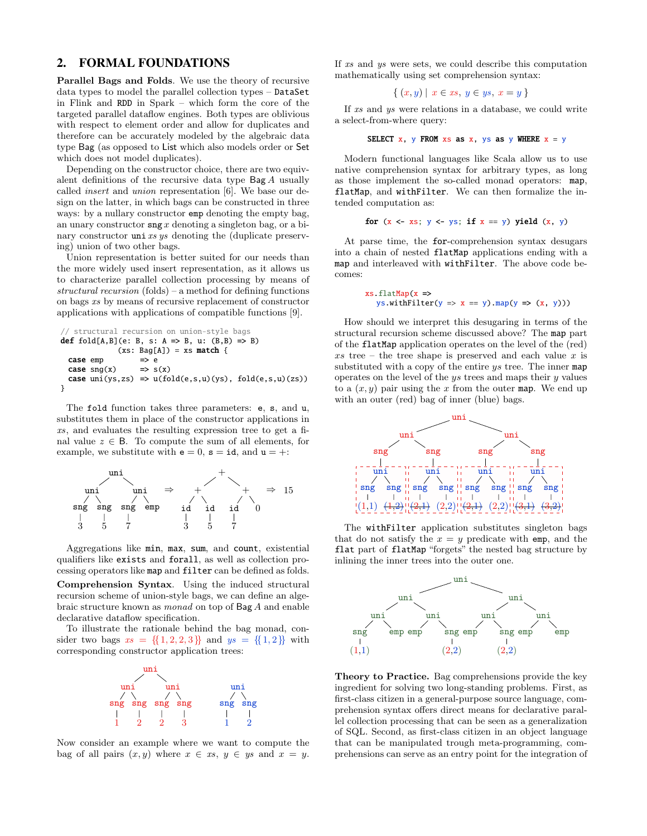## <span id="page-1-0"></span>2. FORMAL FOUNDATIONS

Parallel Bags and Folds. We use the theory of recursive data types to model the parallel collection types – DataSet in Flink and RDD in Spark – which form the core of the targeted parallel dataflow engines. Both types are oblivious with respect to element order and allow for duplicates and therefore can be accurately modeled by the algebraic data type Bag (as opposed to List which also models order or Set which does not model duplicates).

Depending on the constructor choice, there are two equivalent definitions of the recursive data type  $\text{Bag } A$  usually called insert and union representation [\[6\]](#page-3-7). We base our design on the latter, in which bags can be constructed in three ways: by a nullary constructor emp denoting the empty bag, an unary constructor  $\text{sng } x$  denoting a singleton bag, or a binary constructor uni xs ys denoting the (duplicate preserving) union of two other bags.

Union representation is better suited for our needs than the more widely used insert representation, as it allows us to characterize parallel collection processing by means of structural recursion (folds) – a method for defining functions on bags xs by means of recursive replacement of constructor applications with applications of compatible functions [\[9\]](#page-3-8).

```
// structural recursion on union-style bags
def fold[A, B](e: B, s: A \Rightarrow B, u: (B, B) \Rightarrow B)(xs: Bag[A]) = xs match {case emp \Rightarrow e
 case \text{sng}(x) => \text{s}(x)case uni(ys,zs) \Rightarrow u(fold(e,s,u)(ys), fold(e,s,u)(zs))}
```
The fold function takes three parameters: e, s, and u, substitutes them in place of the constructor applications in xs, and evaluates the resulting expression tree to get a final value  $z \in \mathsf{B}$ . To compute the sum of all elements, for example, we substitute with  $e = 0$ ,  $s = id$ , and  $u = +$ :



Aggregations like min, max, sum, and count, existential qualifiers like exists and forall, as well as collection processing operators like map and filter can be defined as folds. Comprehension Syntax. Using the induced structural recursion scheme of union-style bags, we can define an algebraic structure known as monad on top of Bag A and enable declarative dataflow specification.

To illustrate the rationale behind the bag monad, consider two bags  $xs = \{\{1, 2, 2, 3\}\}\$ and  $ys = \{\{1, 2\}\}\$ with corresponding constructor application trees:



Now consider an example where we want to compute the bag of all pairs  $(x, y)$  where  $x \in xs$ ,  $y \in ys$  and  $x = y$ .

If xs and ys were sets, we could describe this computation mathematically using set comprehension syntax:

$$
\{(x, y) \mid x \in xs, y \in ys, x = y\}
$$

If xs and ys were relations in a database, we could write a select-from-where query:

SELECT 
$$
x
$$
,  $y$  FROM  $xs$  as  $x$ ,  $ys$  as  $y$  WHERE  $x = y$ 

Modern functional languages like Scala allow us to use native comprehension syntax for arbitrary types, as long as those implement the so-called monad operators: map, flatMap, and withFilter. We can then formalize the intended computation as:

for 
$$
(x \leq x s; y \leq y s; \text{ if } x == y)
$$
 yield  $(x, y)$ 

At parse time, the for-comprehension syntax desugars into a chain of nested flatMap applications ending with a map and interleaved with withFilter. The above code becomes:

xs.flatMap(x => ys.withFilter(y => x == y).map(y => (x, y)))

How should we interpret this desugaring in terms of the structural recursion scheme discussed above? The map part of the flatMap application operates on the level of the (red)  $xs$  tree – the tree shape is preserved and each value  $x$  is substituted with a copy of the entire  $ys$  tree. The inner map operates on the level of the  $ys$  trees and maps their  $y$  values to a  $(x, y)$  pair using the x from the outer map. We end up with an outer (red) bag of inner (blue) bags.



The withFilter application substitutes singleton bags that do not satisfy the  $x = y$  predicate with emp, and the flat part of flatMap "forgets" the nested bag structure by inlining the inner trees into the outer one.



Theory to Practice. Bag comprehensions provide the key ingredient for solving two long-standing problems. First, as first-class citizen in a general-purpose source language, comprehension syntax offers direct means for declarative parallel collection processing that can be seen as a generalization of SQL. Second, as first-class citizen in an object language that can be manipulated trough meta-programming, comprehensions can serve as an entry point for the integration of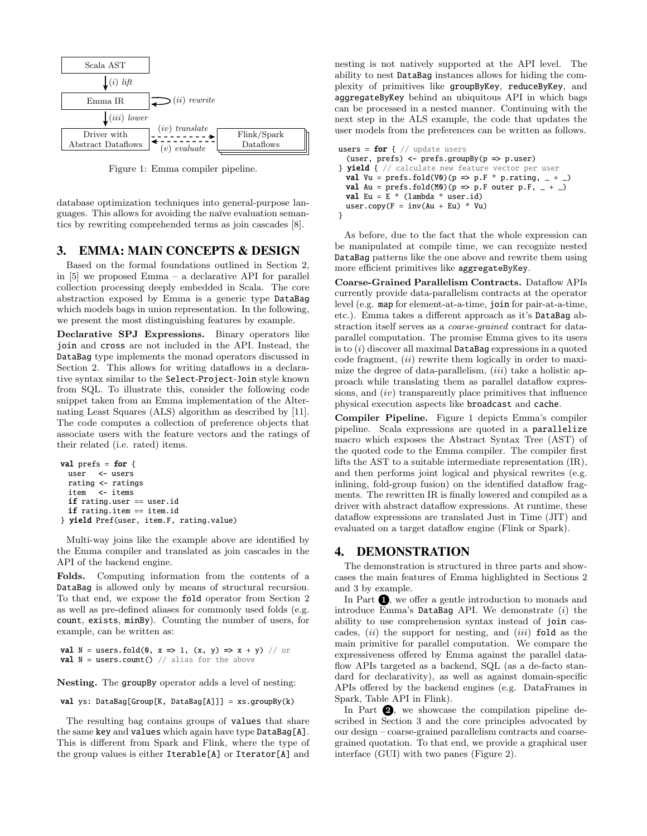<span id="page-2-0"></span>

Figure 1: Emma compiler pipeline.

database optimization techniques into general-purpose languages. This allows for avoiding the naïve evaluation semantics by rewriting comprehended terms as join cascades [\[8\]](#page-3-9).

#### <span id="page-2-1"></span>3. EMMA: MAIN CONCEPTS & DESIGN

Based on the formal foundations outlined in [Section 2,](#page-1-0) in [\[5\]](#page-3-4) we proposed Emma – a declarative API for parallel collection processing deeply embedded in Scala. The core abstraction exposed by Emma is a generic type DataBag which models bags in union representation. In the following, we present the most distinguishing features by example.

Declarative SPJ Expressions. Binary operators like join and cross are not included in the API. Instead, the DataBag type implements the monad operators discussed in Section [2.](#page-1-0) This allows for writing dataflows in a declarative syntax similar to the Select-Project-Join style known from SQL. To illustrate this, consider the following code snippet taken from an Emma implementation of the Alternating Least Squares (ALS) algorithm as described by [\[11\]](#page-3-10). The code computes a collection of preference objects that associate users with the feature vectors and the ratings of their related (i.e. rated) items.

```
val prefs = for {
 user <- users
 rating <- ratings
 item <- items
 if rating.user == user.id
 if rating.item == item.id
} yield Pref(user, item.F, rating.value)
```
Multi-way joins like the example above are identified by the Emma compiler and translated as join cascades in the API of the backend engine.

Folds. Computing information from the contents of a DataBag is allowed only by means of structural recursion. To that end, we expose the fold operator from Section [2](#page-1-0) as well as pre-defined aliases for commonly used folds (e.g. count, exists, minBy). Counting the number of users, for example, can be written as:

val  $N = users.fold(0, x => 1, (x, y) => x + y)$  // or **val**  $N =$  **users.count()** // alias for the above

Nesting. The groupBy operator adds a level of nesting:

```
val ys: DataBag[Group[K, DataBag[A]]] = xs.groupBy(k)
```
The resulting bag contains groups of values that share the same key and values which again have type DataBag[A]. This is different from Spark and Flink, where the type of the group values is either Iterable[A] or Iterator[A] and

nesting is not natively supported at the API level. The ability to nest DataBag instances allows for hiding the complexity of primitives like groupByKey, reduceByKey, and aggregateByKey behind an ubiquitous API in which bags can be processed in a nested manner. Continuing with the next step in the ALS example, the code that updates the user models from the preferences can be written as follows.

```
users = for { // update users
  (user, prefs) <- prefs.groupBy(p => p.user)
} yield { // calculate new feature vector per user
 val Vu = prefs.fold(V0)(p \Rightarrow p.F * p.rating, \_ + \_)val Au = prefs.fold(M0)(p \Rightarrow p.F outer p.F, - +)
 val Eu = E * (lambda * user.id)
 user.copy(F = inv(Au + Eu) * Vu)
}
```
As before, due to the fact that the whole expression can be manipulated at compile time, we can recognize nested DataBag patterns like the one above and rewrite them using more efficient primitives like aggregateByKey.

Coarse-Grained Parallelism Contracts. Dataflow APIs currently provide data-parallelism contracts at the operator level (e.g. map for element-at-a-time, join for pair-at-a-time, etc.). Emma takes a different approach as it's DataBag abstraction itself serves as a coarse-grained contract for dataparallel computation. The promise Emma gives to its users is to  $(i)$  discover all maximal DataBag expressions in a quoted code fragment,  $(ii)$  rewrite them logically in order to maximize the degree of data-parallelism,  $(iii)$  take a holistic approach while translating them as parallel dataflow expressions, and  $(iv)$  transparently place primitives that influence physical execution aspects like broadcast and cache.

Compiler Pipeline. [Figure 1](#page-2-0) depicts Emma's compiler pipeline. Scala expressions are quoted in a parallelize macro which exposes the Abstract Syntax Tree (AST) of the quoted code to the Emma compiler. The compiler first lifts the AST to a suitable intermediate representation (IR), and then performs joint logical and physical rewrites (e.g. inlining, fold-group fusion) on the identified dataflow fragments. The rewritten IR is finally lowered and compiled as a driver with abstract dataflow expressions. At runtime, these dataflow expressions are translated Just in Time (JIT) and evaluated on a target dataflow engine (Flink or Spark).

## 4. DEMONSTRATION

The demonstration is structured in three parts and showcases the main features of Emma highlighted in Sections [2](#page-1-0) and [3](#page-2-1) by example.

In Part  $\bullet$ , we offer a gentle introduction to monads and introduce Emma's DataBag API. We demonstrate  $(i)$  the ability to use comprehension syntax instead of join cascades,  $(ii)$  the support for nesting, and  $(iii)$  fold as the main primitive for parallel computation. We compare the expressiveness offered by Emma against the parallel dataflow APIs targeted as a backend, SQL (as a de-facto standard for declarativity), as well as against domain-specific APIs offered by the backend engines (e.g. DataFrames in Spark, Table API in Flink).

In Part  $\bullet$ , we showcase the compilation pipeline described in [Section 3](#page-2-1) and the core principles advocated by our design – coarse-grained parallelism contracts and coarsegrained quotation. To that end, we provide a graphical user interface (GUI) with two panes [\(Figure 2\)](#page-3-11).